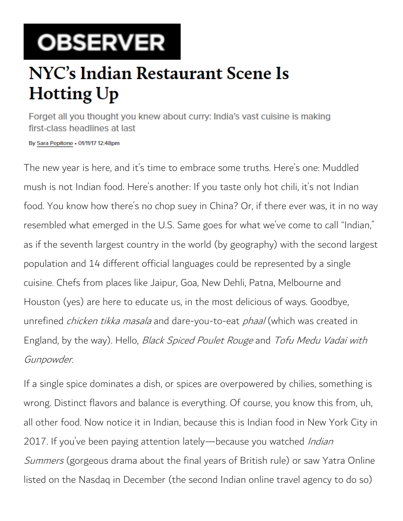## **OBSERVER**

## **NYC's Indian Restaurant Scene Is Hotting Up**

Forget all you thought you knew about curry: India's vast cuisine is making first-class headlines at last

By Sara Pepitone - 01/11/17 12:48pm

The new year is here, and it's time to embrace some truths. Here's one: Muddled mush is not Indian food. Here's another: If you taste only hot chili, it's not Indian food. You know how there's no chop suey in China? Or, if there ever was, it in no way resembled what emerged in the U.S. Same goes for what we've come to call "Indian," as if the seventh largest country in the world (by geography) with the second largest population and 14 different official languages could be represented by a single cuisine. Chefs from places like Jaipur, Goa, New Dehli, Patna, Melbourne and Houston (yes) are here to educate us, in the most delicious of ways. Goodbye, unrefined *chicken tikka masala* and dare-you-to-eat *phaal* (which was created in England, by the way). Hello, Black Spiced Poulet Rouge and Tofu Medu Vadai with Gunpowder.

If a single spice dominates a dish, or spices are overpowered by chilies, something is wrong. Distinct flavors and balance is everything. Of course, you know this from, uh, all other food. Now notice it in Indian, because this is Indian food in New York City in 2017. If you've been paying attention lately—because you watched *Indian* Summers (gorgeous drama about the final years of British rule) or saw Yatra Online listed on the Nasdaq in December (the second Indian online travel agency to do so)